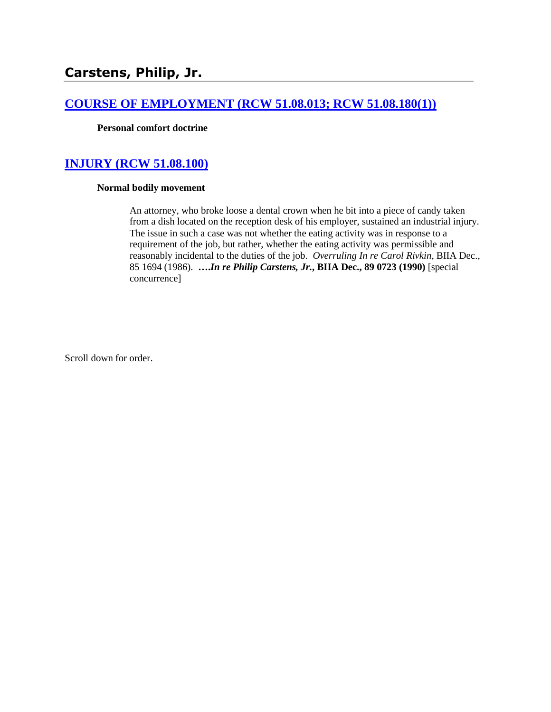# **[COURSE OF EMPLOYMENT \(RCW 51.08.013; RCW 51.08.180\(1\)\)](http://www.biia.wa.gov/SDSubjectIndex.html#COURSE_OF_EMPLOYMENT)**

**Personal comfort doctrine**

# **[INJURY \(RCW 51.08.100\)](http://www.biia.wa.gov/SDSubjectIndex.html#INJURY)**

#### **Normal bodily movement**

An attorney, who broke loose a dental crown when he bit into a piece of candy taken from a dish located on the reception desk of his employer, sustained an industrial injury. The issue in such a case was not whether the eating activity was in response to a requirement of the job, but rather, whether the eating activity was permissible and reasonably incidental to the duties of the job. *Overruling In re Carol Rivkin*, BIIA Dec., 85 1694 (1986). **….***In re Philip Carstens, Jr.***, BIIA Dec., 89 0723 (1990)** [special concurrence]

Scroll down for order.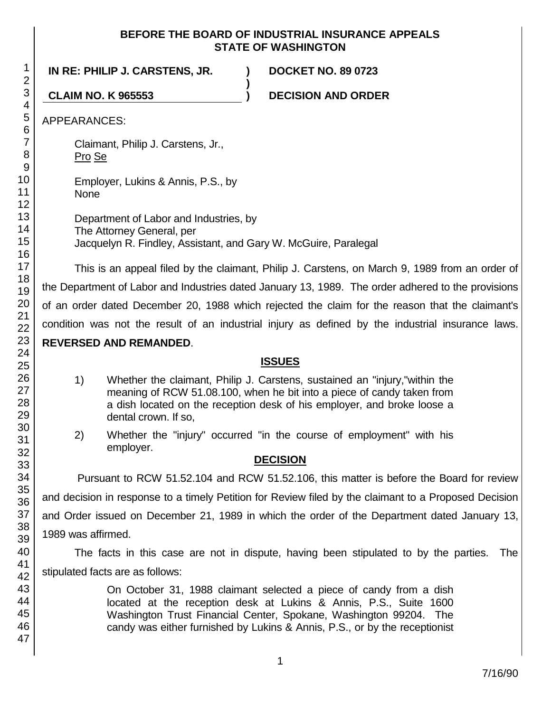## **BEFORE THE BOARD OF INDUSTRIAL INSURANCE APPEALS STATE OF WASHINGTON**

**IN RE: PHILIP J. CARSTENS, JR. ) DOCKET NO. 89 0723 ) CLAIM NO. K 965553 ) DECISION AND ORDER** APPEARANCES: Claimant, Philip J. Carstens, Jr., Pro Se Employer, Lukins & Annis, P.S., by None Department of Labor and Industries, by The Attorney General, per Jacquelyn R. Findley, Assistant, and Gary W. McGuire, Paralegal

This is an appeal filed by the claimant, Philip J. Carstens, on March 9, 1989 from an order of the Department of Labor and Industries dated January 13, 1989. The order adhered to the provisions of an order dated December 20, 1988 which rejected the claim for the reason that the claimant's condition was not the result of an industrial injury as defined by the industrial insurance laws. **REVERSED AND REMANDED**.

# **ISSUES**

- 1) Whether the claimant, Philip J. Carstens, sustained an "injury,"within the meaning of RCW 51.08.100, when he bit into a piece of candy taken from a dish located on the reception desk of his employer, and broke loose a dental crown. If so,
- 2) Whether the "injury" occurred "in the course of employment" with his employer.

### **DECISION**

Pursuant to RCW 51.52.104 and RCW 51.52.106, this matter is before the Board for review and decision in response to a timely Petition for Review filed by the claimant to a Proposed Decision and Order issued on December 21, 1989 in which the order of the Department dated January 13, 1989 was affirmed.

The facts in this case are not in dispute, having been stipulated to by the parties. The stipulated facts are as follows:

> On October 31, 1988 claimant selected a piece of candy from a dish located at the reception desk at Lukins & Annis, P.S., Suite 1600 Washington Trust Financial Center, Spokane, Washington 99204. The candy was either furnished by Lukins & Annis, P.S., or by the receptionist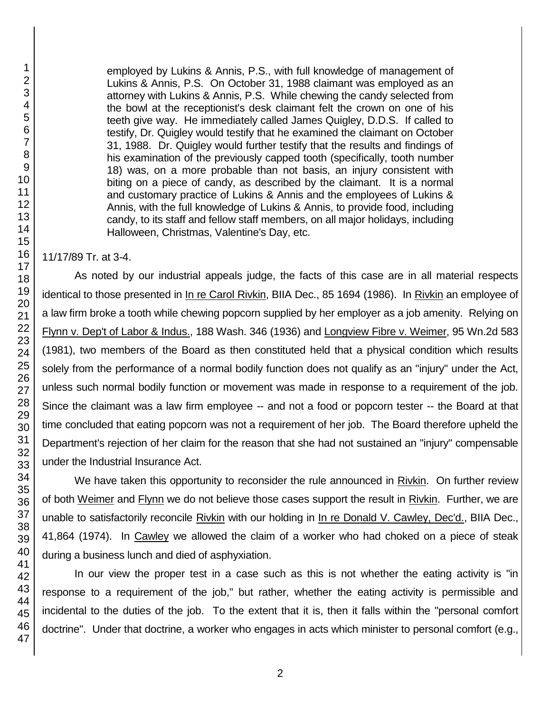employed by Lukins & Annis, P.S., with full knowledge of management of Lukins & Annis, P.S. On October 31, 1988 claimant was employed as an attorney with Lukins & Annis, P.S. While chewing the candy selected from the bowl at the receptionist's desk claimant felt the crown on one of his teeth give way. He immediately called James Quigley, D.D.S. If called to testify, Dr. Quigley would testify that he examined the claimant on October 31, 1988. Dr. Quigley would further testify that the results and findings of his examination of the previously capped tooth (specifically, tooth number 18) was, on a more probable than not basis, an injury consistent with biting on a piece of candy, as described by the claimant. It is a normal and customary practice of Lukins & Annis and the employees of Lukins & Annis, with the full knowledge of Lukins & Annis, to provide food, including candy, to its staff and fellow staff members, on all major holidays, including Halloween, Christmas, Valentine's Day, etc.

11/17/89 Tr. at 3-4.

As noted by our industrial appeals judge, the facts of this case are in all material respects identical to those presented in In re Carol Rivkin, BIIA Dec., 85 1694 (1986). In Rivkin an employee of a law firm broke a tooth while chewing popcorn supplied by her employer as a job amenity. Relying on Flynn v. Dep't of Labor & Indus., 188 Wash. 346 (1936) and Longview Fibre v. Weimer, 95 Wn.2d 583 (1981), two members of the Board as then constituted held that a physical condition which results solely from the performance of a normal bodily function does not qualify as an "injury" under the Act, unless such normal bodily function or movement was made in response to a requirement of the job. Since the claimant was a law firm employee -- and not a food or popcorn tester -- the Board at that time concluded that eating popcorn was not a requirement of her job. The Board therefore upheld the Department's rejection of her claim for the reason that she had not sustained an "injury" compensable under the Industrial Insurance Act.

We have taken this opportunity to reconsider the rule announced in Rivkin. On further review of both Weimer and Flynn we do not believe those cases support the result in Rivkin. Further, we are unable to satisfactorily reconcile Rivkin with our holding in In re Donald V. Cawley, Dec'd., BIIA Dec., 41,864 (1974). In Cawley we allowed the claim of a worker who had choked on a piece of steak during a business lunch and died of asphyxiation.

In our view the proper test in a case such as this is not whether the eating activity is "in response to a requirement of the job," but rather, whether the eating activity is permissible and incidental to the duties of the job. To the extent that it is, then it falls within the "personal comfort doctrine". Under that doctrine, a worker who engages in acts which minister to personal comfort (e.g.,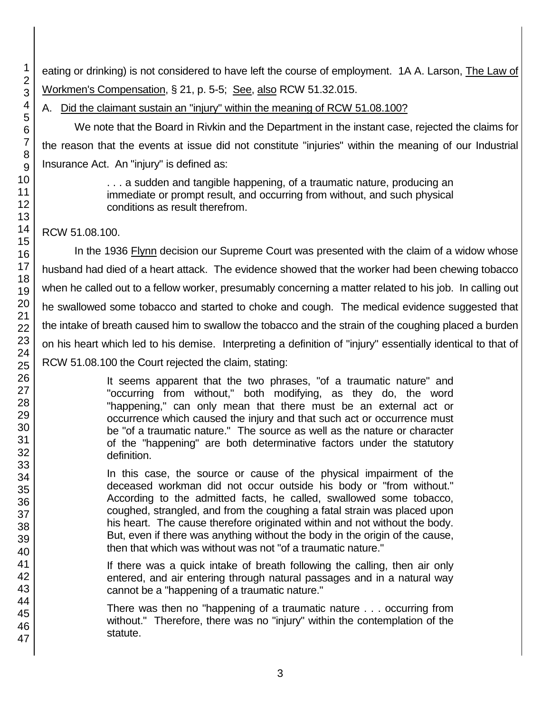eating or drinking) is not considered to have left the course of employment. 1A A. Larson, The Law of Workmen's Compensation, § 21, p. 5-5; See, also RCW 51.32.015.

A. Did the claimant sustain an "injury" within the meaning of RCW 51.08.100?

We note that the Board in Rivkin and the Department in the instant case, rejected the claims for the reason that the events at issue did not constitute "injuries" within the meaning of our Industrial Insurance Act. An "injury" is defined as:

> . . . a sudden and tangible happening, of a traumatic nature, producing an immediate or prompt result, and occurring from without, and such physical conditions as result therefrom.

RCW 51.08.100.

In the 1936 Flynn decision our Supreme Court was presented with the claim of a widow whose husband had died of a heart attack. The evidence showed that the worker had been chewing tobacco when he called out to a fellow worker, presumably concerning a matter related to his job. In calling out he swallowed some tobacco and started to choke and cough. The medical evidence suggested that the intake of breath caused him to swallow the tobacco and the strain of the coughing placed a burden on his heart which led to his demise. Interpreting a definition of "injury" essentially identical to that of RCW 51.08.100 the Court rejected the claim, stating:

> It seems apparent that the two phrases, "of a traumatic nature" and "occurring from without," both modifying, as they do, the word "happening," can only mean that there must be an external act or occurrence which caused the injury and that such act or occurrence must be "of a traumatic nature." The source as well as the nature or character of the "happening" are both determinative factors under the statutory definition.

> In this case, the source or cause of the physical impairment of the deceased workman did not occur outside his body or "from without." According to the admitted facts, he called, swallowed some tobacco, coughed, strangled, and from the coughing a fatal strain was placed upon his heart. The cause therefore originated within and not without the body. But, even if there was anything without the body in the origin of the cause, then that which was without was not "of a traumatic nature."

> If there was a quick intake of breath following the calling, then air only entered, and air entering through natural passages and in a natural way cannot be a "happening of a traumatic nature."

There was then no "happening of a traumatic nature . . . occurring from without." Therefore, there was no "injury" within the contemplation of the statute.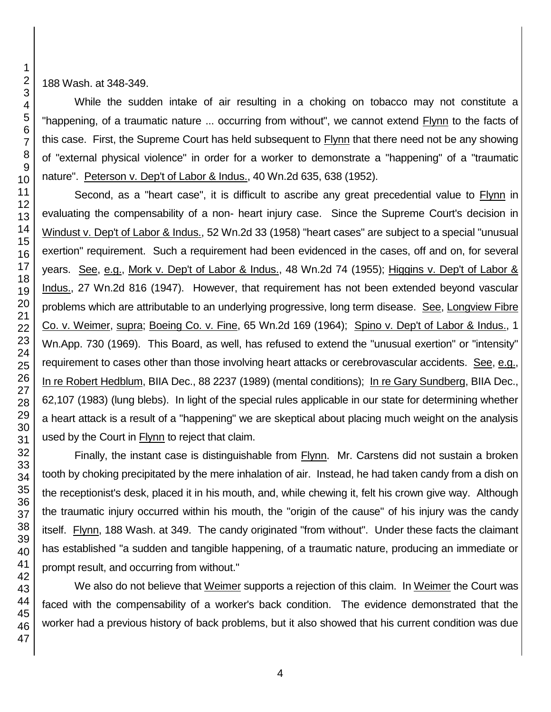188 Wash. at 348-349.

While the sudden intake of air resulting in a choking on tobacco may not constitute a "happening, of a traumatic nature ... occurring from without", we cannot extend Flynn to the facts of this case. First, the Supreme Court has held subsequent to Flynn that there need not be any showing of "external physical violence" in order for a worker to demonstrate a "happening" of a "traumatic nature". Peterson v. Dep't of Labor & Indus., 40 Wn.2d 635, 638 (1952).

Second, as a "heart case", it is difficult to ascribe any great precedential value to Flynn in evaluating the compensability of a non- heart injury case. Since the Supreme Court's decision in Windust v. Dep't of Labor & Indus., 52 Wn.2d 33 (1958) "heart cases" are subject to a special "unusual exertion" requirement. Such a requirement had been evidenced in the cases, off and on, for several years. See, e.g., Mork v. Dep't of Labor & Indus., 48 Wn.2d 74 (1955); Higgins v. Dep't of Labor & Indus., 27 Wn.2d 816 (1947). However, that requirement has not been extended beyond vascular problems which are attributable to an underlying progressive, long term disease. See, Longview Fibre Co. v. Weimer, supra; Boeing Co. v. Fine, 65 Wn.2d 169 (1964); Spino v. Dep't of Labor & Indus., 1 Wn.App. 730 (1969). This Board, as well, has refused to extend the "unusual exertion" or "intensity" requirement to cases other than those involving heart attacks or cerebrovascular accidents. See, e.g., In re Robert Hedblum, BIIA Dec., 88 2237 (1989) (mental conditions); In re Gary Sundberg, BIIA Dec., 62,107 (1983) (lung blebs). In light of the special rules applicable in our state for determining whether a heart attack is a result of a "happening" we are skeptical about placing much weight on the analysis used by the Court in Flynn to reject that claim.

Finally, the instant case is distinguishable from Flynn. Mr. Carstens did not sustain a broken tooth by choking precipitated by the mere inhalation of air. Instead, he had taken candy from a dish on the receptionist's desk, placed it in his mouth, and, while chewing it, felt his crown give way. Although the traumatic injury occurred within his mouth, the "origin of the cause" of his injury was the candy itself. Flynn, 188 Wash. at 349. The candy originated "from without". Under these facts the claimant has established "a sudden and tangible happening, of a traumatic nature, producing an immediate or prompt result, and occurring from without."

We also do not believe that Weimer supports a rejection of this claim. In Weimer the Court was faced with the compensability of a worker's back condition. The evidence demonstrated that the worker had a previous history of back problems, but it also showed that his current condition was due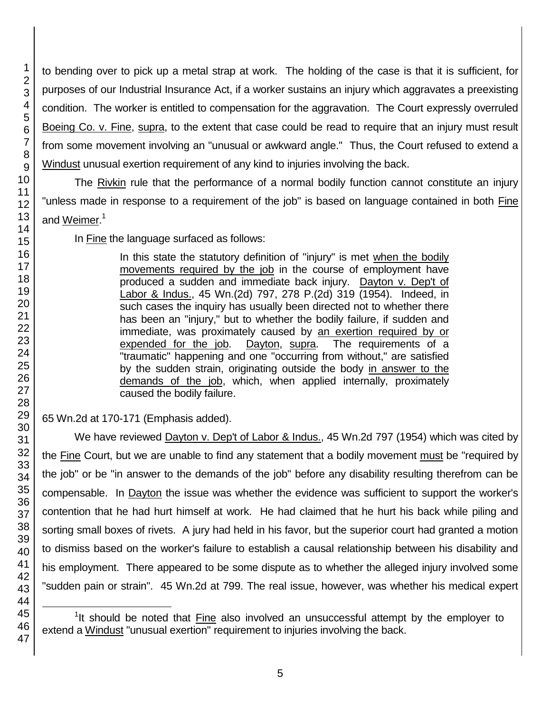to bending over to pick up a metal strap at work. The holding of the case is that it is sufficient, for purposes of our Industrial Insurance Act, if a worker sustains an injury which aggravates a preexisting condition. The worker is entitled to compensation for the aggravation. The Court expressly overruled Boeing Co. v. Fine, supra, to the extent that case could be read to require that an injury must result from some movement involving an "unusual or awkward angle." Thus, the Court refused to extend a Windust unusual exertion requirement of any kind to injuries involving the back.

The Rivkin rule that the performance of a normal bodily function cannot constitute an injury "unless made in response to a requirement of the job" is based on language contained in both Fine and Weimer.<sup>1</sup>

In Fine the language surfaced as follows:

In this state the statutory definition of "injury" is met when the bodily movements required by the job in the course of employment have produced a sudden and immediate back injury. Dayton v. Dep't of Labor & Indus., 45 Wn.(2d) 797, 278 P.(2d) 319 (1954). Indeed, in such cases the inquiry has usually been directed not to whether there has been an "injury," but to whether the bodily failure, if sudden and immediate, was proximately caused by an exertion required by or expended for the job. Dayton, supra. The requirements of a "traumatic" happening and one "occurring from without," are satisfied by the sudden strain, originating outside the body in answer to the demands of the job, which, when applied internally, proximately caused the bodily failure.

65 Wn.2d at 170-171 (Emphasis added).

We have reviewed Dayton v. Dep't of Labor & Indus., 45 Wn.2d 797 (1954) which was cited by the Fine Court, but we are unable to find any statement that a bodily movement must be "required by the job" or be "in answer to the demands of the job" before any disability resulting therefrom can be compensable. In Dayton the issue was whether the evidence was sufficient to support the worker's contention that he had hurt himself at work. He had claimed that he hurt his back while piling and sorting small boxes of rivets. A jury had held in his favor, but the superior court had granted a motion to dismiss based on the worker's failure to establish a causal relationship between his disability and his employment. There appeared to be some dispute as to whether the alleged injury involved some "sudden pain or strain". 45 Wn.2d at 799. The real issue, however, was whether his medical expert

l <sup>1</sup>It should be noted that **Fine** also involved an unsuccessful attempt by the employer to extend a Windust "unusual exertion" requirement to injuries involving the back.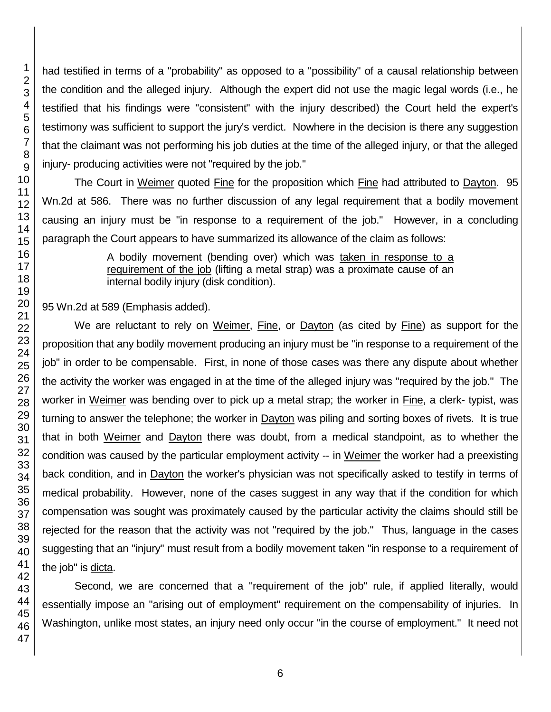had testified in terms of a "probability" as opposed to a "possibility" of a causal relationship between the condition and the alleged injury. Although the expert did not use the magic legal words (i.e., he testified that his findings were "consistent" with the injury described) the Court held the expert's testimony was sufficient to support the jury's verdict. Nowhere in the decision is there any suggestion that the claimant was not performing his job duties at the time of the alleged injury, or that the alleged injury- producing activities were not "required by the job."

The Court in Weimer quoted Fine for the proposition which Fine had attributed to Dayton. 95 Wn.2d at 586. There was no further discussion of any legal requirement that a bodily movement causing an injury must be "in response to a requirement of the job." However, in a concluding paragraph the Court appears to have summarized its allowance of the claim as follows:

> A bodily movement (bending over) which was taken in response to a requirement of the job (lifting a metal strap) was a proximate cause of an internal bodily injury (disk condition).

95 Wn.2d at 589 (Emphasis added).

We are reluctant to rely on Weimer, Fine, or Dayton (as cited by Fine) as support for the proposition that any bodily movement producing an injury must be "in response to a requirement of the job" in order to be compensable. First, in none of those cases was there any dispute about whether the activity the worker was engaged in at the time of the alleged injury was "required by the job." The worker in Weimer was bending over to pick up a metal strap; the worker in Fine, a clerk- typist, was turning to answer the telephone; the worker in **Dayton** was piling and sorting boxes of rivets. It is true that in both Weimer and Dayton there was doubt, from a medical standpoint, as to whether the condition was caused by the particular employment activity -- in Weimer the worker had a preexisting back condition, and in Dayton the worker's physician was not specifically asked to testify in terms of medical probability. However, none of the cases suggest in any way that if the condition for which compensation was sought was proximately caused by the particular activity the claims should still be rejected for the reason that the activity was not "required by the job." Thus, language in the cases suggesting that an "injury" must result from a bodily movement taken "in response to a requirement of the job" is dicta.

Second, we are concerned that a "requirement of the job" rule, if applied literally, would essentially impose an "arising out of employment" requirement on the compensability of injuries. In Washington, unlike most states, an injury need only occur "in the course of employment." It need not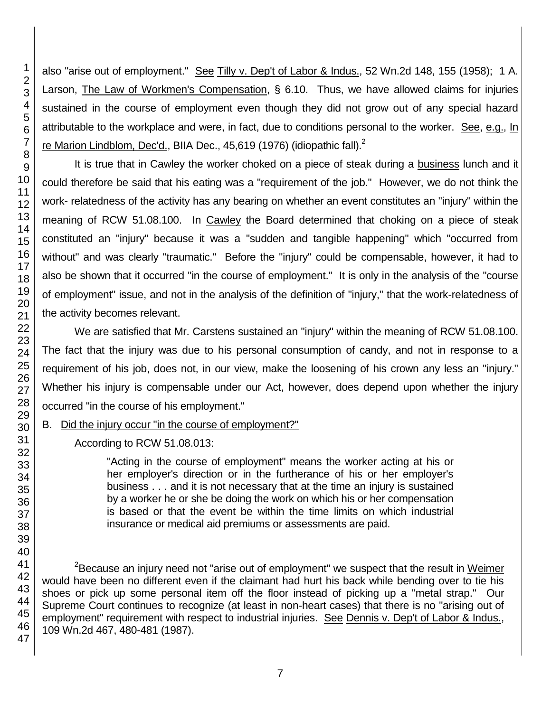also "arise out of employment." See Tilly v. Dep't of Labor & Indus., 52 Wn.2d 148, 155 (1958); 1 A. Larson, The Law of Workmen's Compensation, § 6.10. Thus, we have allowed claims for injuries sustained in the course of employment even though they did not grow out of any special hazard attributable to the workplace and were, in fact, due to conditions personal to the worker. See, e.g., In re Marion Lindblom, Dec'd., BIIA Dec., 45,619 (1976) (idiopathic fall). $^2$ 

It is true that in Cawley the worker choked on a piece of steak during a business lunch and it could therefore be said that his eating was a "requirement of the job." However, we do not think the work- relatedness of the activity has any bearing on whether an event constitutes an "injury" within the meaning of RCW 51.08.100. In Cawley the Board determined that choking on a piece of steak constituted an "injury" because it was a "sudden and tangible happening" which "occurred from without" and was clearly "traumatic." Before the "injury" could be compensable, however, it had to also be shown that it occurred "in the course of employment." It is only in the analysis of the "course of employment" issue, and not in the analysis of the definition of "injury," that the work-relatedness of the activity becomes relevant.

We are satisfied that Mr. Carstens sustained an "injury" within the meaning of RCW 51.08.100. The fact that the injury was due to his personal consumption of candy, and not in response to a requirement of his job, does not, in our view, make the loosening of his crown any less an "injury." Whether his injury is compensable under our Act, however, does depend upon whether the injury occurred "in the course of his employment."

B. Did the injury occur "in the course of employment?"

According to RCW 51.08.013:

"Acting in the course of employment" means the worker acting at his or her employer's direction or in the furtherance of his or her employer's business . . . and it is not necessary that at the time an injury is sustained by a worker he or she be doing the work on which his or her compensation is based or that the event be within the time limits on which industrial insurance or medical aid premiums or assessments are paid.

l <sup>2</sup>Because an injury need not "arise out of employment" we suspect that the result in Weimer would have been no different even if the claimant had hurt his back while bending over to tie his shoes or pick up some personal item off the floor instead of picking up a "metal strap." Our Supreme Court continues to recognize (at least in non-heart cases) that there is no "arising out of employment" requirement with respect to industrial injuries. See Dennis v. Dep't of Labor & Indus., 109 Wn.2d 467, 480-481 (1987).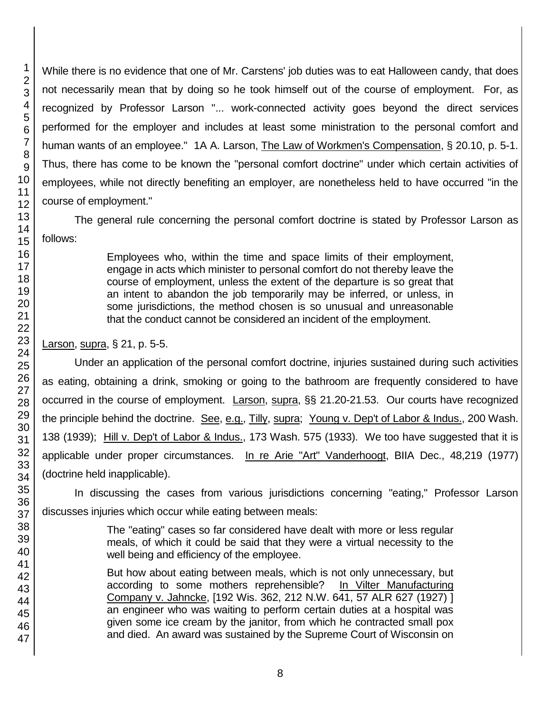While there is no evidence that one of Mr. Carstens' job duties was to eat Halloween candy, that does not necessarily mean that by doing so he took himself out of the course of employment. For, as recognized by Professor Larson "... work-connected activity goes beyond the direct services performed for the employer and includes at least some ministration to the personal comfort and human wants of an employee." 1A A. Larson, The Law of Workmen's Compensation, § 20.10, p. 5-1. Thus, there has come to be known the "personal comfort doctrine" under which certain activities of employees, while not directly benefiting an employer, are nonetheless held to have occurred "in the course of employment."

The general rule concerning the personal comfort doctrine is stated by Professor Larson as follows:

> Employees who, within the time and space limits of their employment, engage in acts which minister to personal comfort do not thereby leave the course of employment, unless the extent of the departure is so great that an intent to abandon the job temporarily may be inferred, or unless, in some jurisdictions, the method chosen is so unusual and unreasonable that the conduct cannot be considered an incident of the employment.

Larson, supra, § 21, p. 5-5.

Under an application of the personal comfort doctrine, injuries sustained during such activities as eating, obtaining a drink, smoking or going to the bathroom are frequently considered to have occurred in the course of employment. Larson, supra, §§ 21.20-21.53. Our courts have recognized the principle behind the doctrine. See, e.g., Tilly, supra; Young v. Dep't of Labor & Indus., 200 Wash. 138 (1939); Hill v. Dep't of Labor & Indus., 173 Wash. 575 (1933). We too have suggested that it is applicable under proper circumstances. In re Arie "Art" Vanderhoogt, BIIA Dec., 48,219 (1977) (doctrine held inapplicable).

In discussing the cases from various jurisdictions concerning "eating," Professor Larson discusses injuries which occur while eating between meals:

> The "eating" cases so far considered have dealt with more or less regular meals, of which it could be said that they were a virtual necessity to the well being and efficiency of the employee.

> But how about eating between meals, which is not only unnecessary, but according to some mothers reprehensible? In Vilter Manufacturing Company v. Jahncke, [192 Wis. 362, 212 N.W. 641, 57 ALR 627 (1927) ] an engineer who was waiting to perform certain duties at a hospital was given some ice cream by the janitor, from which he contracted small pox and died. An award was sustained by the Supreme Court of Wisconsin on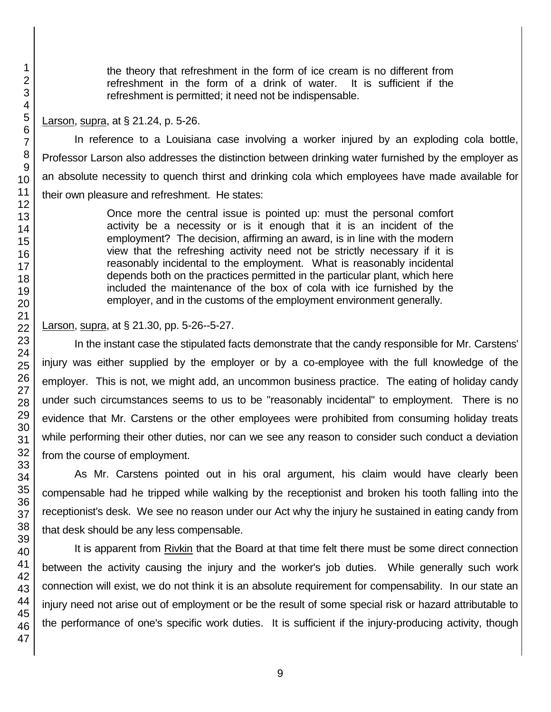the theory that refreshment in the form of ice cream is no different from refreshment in the form of a drink of water. It is sufficient if the refreshment is permitted; it need not be indispensable.

Larson, supra, at § 21.24, p. 5-26.

In reference to a Louisiana case involving a worker injured by an exploding cola bottle, Professor Larson also addresses the distinction between drinking water furnished by the employer as an absolute necessity to quench thirst and drinking cola which employees have made available for their own pleasure and refreshment. He states:

> Once more the central issue is pointed up: must the personal comfort activity be a necessity or is it enough that it is an incident of the employment? The decision, affirming an award, is in line with the modern view that the refreshing activity need not be strictly necessary if it is reasonably incidental to the employment. What is reasonably incidental depends both on the practices permitted in the particular plant, which here included the maintenance of the box of cola with ice furnished by the employer, and in the customs of the employment environment generally.

Larson, supra, at § 21.30, pp. 5-26--5-27.

In the instant case the stipulated facts demonstrate that the candy responsible for Mr. Carstens' injury was either supplied by the employer or by a co-employee with the full knowledge of the employer. This is not, we might add, an uncommon business practice. The eating of holiday candy under such circumstances seems to us to be "reasonably incidental" to employment. There is no evidence that Mr. Carstens or the other employees were prohibited from consuming holiday treats while performing their other duties, nor can we see any reason to consider such conduct a deviation from the course of employment.

As Mr. Carstens pointed out in his oral argument, his claim would have clearly been compensable had he tripped while walking by the receptionist and broken his tooth falling into the receptionist's desk. We see no reason under our Act why the injury he sustained in eating candy from that desk should be any less compensable.

It is apparent from Rivkin that the Board at that time felt there must be some direct connection between the activity causing the injury and the worker's job duties. While generally such work connection will exist, we do not think it is an absolute requirement for compensability. In our state an injury need not arise out of employment or be the result of some special risk or hazard attributable to the performance of one's specific work duties. It is sufficient if the injury-producing activity, though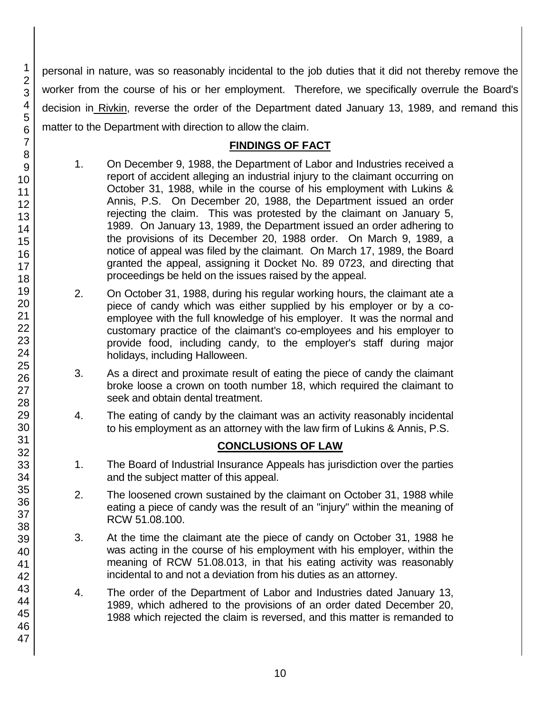personal in nature, was so reasonably incidental to the job duties that it did not thereby remove the worker from the course of his or her employment. Therefore, we specifically overrule the Board's decision in Rivkin, reverse the order of the Department dated January 13, 1989, and remand this matter to the Department with direction to allow the claim.

# **FINDINGS OF FACT**

- 1. On December 9, 1988, the Department of Labor and Industries received a report of accident alleging an industrial injury to the claimant occurring on October 31, 1988, while in the course of his employment with Lukins & Annis, P.S. On December 20, 1988, the Department issued an order rejecting the claim. This was protested by the claimant on January 5, 1989. On January 13, 1989, the Department issued an order adhering to the provisions of its December 20, 1988 order. On March 9, 1989, a notice of appeal was filed by the claimant. On March 17, 1989, the Board granted the appeal, assigning it Docket No. 89 0723, and directing that proceedings be held on the issues raised by the appeal.
- 2. On October 31, 1988, during his regular working hours, the claimant ate a piece of candy which was either supplied by his employer or by a coemployee with the full knowledge of his employer. It was the normal and customary practice of the claimant's co-employees and his employer to provide food, including candy, to the employer's staff during major holidays, including Halloween.
- 3. As a direct and proximate result of eating the piece of candy the claimant broke loose a crown on tooth number 18, which required the claimant to seek and obtain dental treatment.
- 4. The eating of candy by the claimant was an activity reasonably incidental to his employment as an attorney with the law firm of Lukins & Annis, P.S.

# **CONCLUSIONS OF LAW**

- 1. The Board of Industrial Insurance Appeals has jurisdiction over the parties and the subject matter of this appeal.
- 2. The loosened crown sustained by the claimant on October 31, 1988 while eating a piece of candy was the result of an "injury" within the meaning of RCW 51.08.100.
- 3. At the time the claimant ate the piece of candy on October 31, 1988 he was acting in the course of his employment with his employer, within the meaning of RCW 51.08.013, in that his eating activity was reasonably incidental to and not a deviation from his duties as an attorney.
- 4. The order of the Department of Labor and Industries dated January 13, 1989, which adhered to the provisions of an order dated December 20, 1988 which rejected the claim is reversed, and this matter is remanded to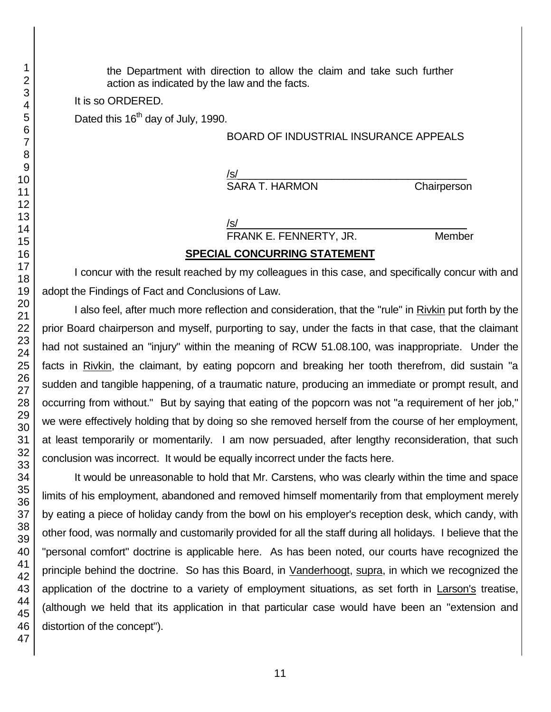the Department with direction to allow the claim and take such further action as indicated by the law and the facts.

It is so ORDERED.

Dated this 16<sup>th</sup> day of July, 1990.

#### BOARD OF INDUSTRIAL INSURANCE APPEALS

/s/  $\,$ SARA T. HARMON Chairperson

/s/  $\,$ 

FRANK E. FENNERTY, JR. Member

### **SPECIAL CONCURRING STATEMENT**

I concur with the result reached by my colleagues in this case, and specifically concur with and adopt the Findings of Fact and Conclusions of Law.

I also feel, after much more reflection and consideration, that the "rule" in Rivkin put forth by the prior Board chairperson and myself, purporting to say, under the facts in that case, that the claimant had not sustained an "injury" within the meaning of RCW 51.08.100, was inappropriate. Under the facts in Rivkin, the claimant, by eating popcorn and breaking her tooth therefrom, did sustain "a sudden and tangible happening, of a traumatic nature, producing an immediate or prompt result, and occurring from without." But by saying that eating of the popcorn was not "a requirement of her job," we were effectively holding that by doing so she removed herself from the course of her employment, at least temporarily or momentarily. I am now persuaded, after lengthy reconsideration, that such conclusion was incorrect. It would be equally incorrect under the facts here.

It would be unreasonable to hold that Mr. Carstens, who was clearly within the time and space limits of his employment, abandoned and removed himself momentarily from that employment merely by eating a piece of holiday candy from the bowl on his employer's reception desk, which candy, with other food, was normally and customarily provided for all the staff during all holidays. I believe that the "personal comfort" doctrine is applicable here. As has been noted, our courts have recognized the principle behind the doctrine. So has this Board, in Vanderhoogt, supra, in which we recognized the application of the doctrine to a variety of employment situations, as set forth in Larson's treatise, (although we held that its application in that particular case would have been an "extension and distortion of the concept").